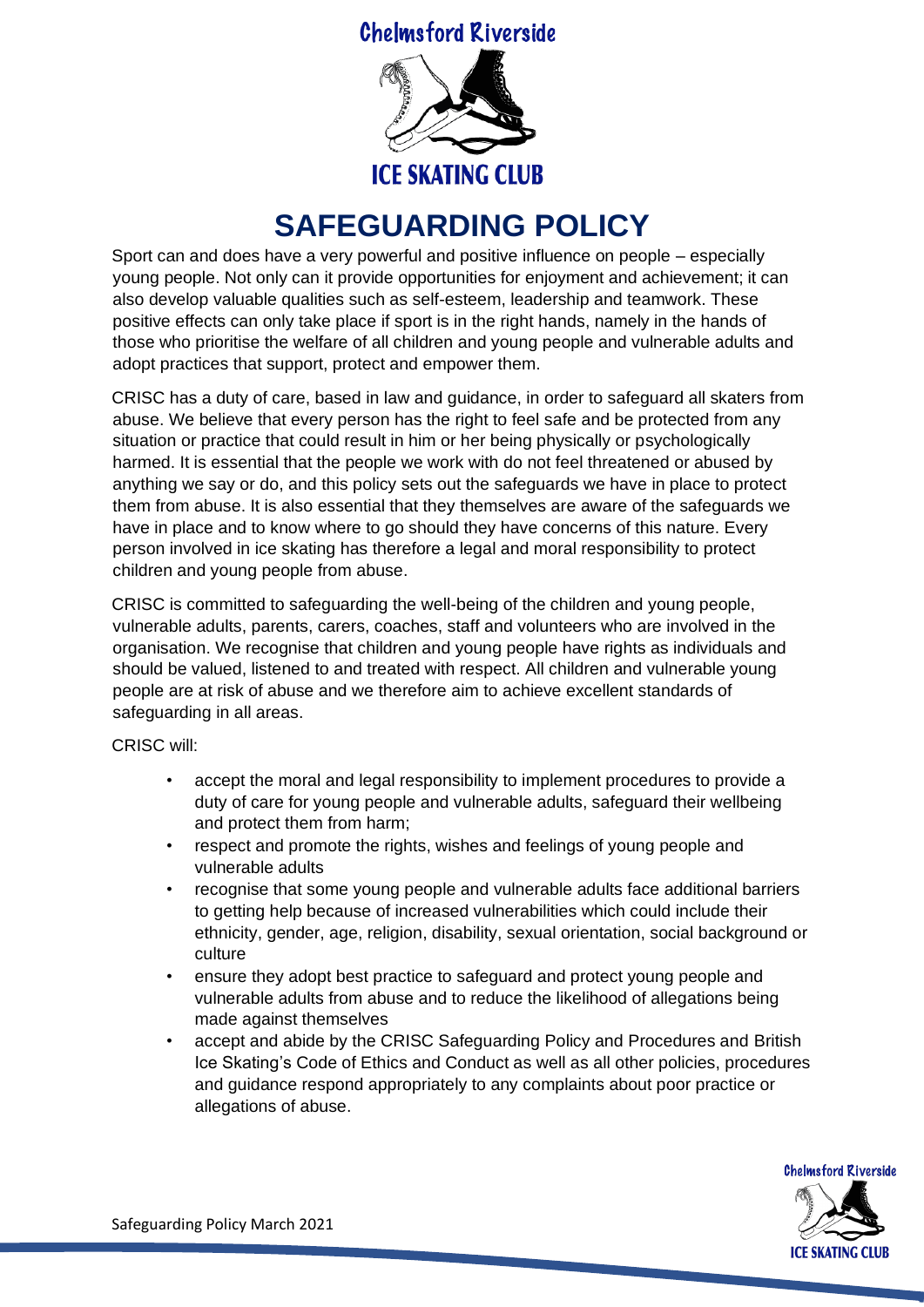**Chelmsford Riverside** 



## **SAFEGUARDING POLICY**

Sport can and does have a very powerful and positive influence on people – especially young people. Not only can it provide opportunities for enjoyment and achievement; it can also develop valuable qualities such as self-esteem, leadership and teamwork. These positive effects can only take place if sport is in the right hands, namely in the hands of those who prioritise the welfare of all children and young people and vulnerable adults and adopt practices that support, protect and empower them.

CRISC has a duty of care, based in law and guidance, in order to safeguard all skaters from abuse. We believe that every person has the right to feel safe and be protected from any situation or practice that could result in him or her being physically or psychologically harmed. It is essential that the people we work with do not feel threatened or abused by anything we say or do, and this policy sets out the safeguards we have in place to protect them from abuse. It is also essential that they themselves are aware of the safeguards we have in place and to know where to go should they have concerns of this nature. Every person involved in ice skating has therefore a legal and moral responsibility to protect children and young people from abuse.

CRISC is committed to safeguarding the well-being of the children and young people, vulnerable adults, parents, carers, coaches, staff and volunteers who are involved in the organisation. We recognise that children and young people have rights as individuals and should be valued, listened to and treated with respect. All children and vulnerable young people are at risk of abuse and we therefore aim to achieve excellent standards of safeguarding in all areas.

CRISC will:

- accept the moral and legal responsibility to implement procedures to provide a duty of care for young people and vulnerable adults, safeguard their wellbeing and protect them from harm;
- respect and promote the rights, wishes and feelings of young people and vulnerable adults
- recognise that some young people and vulnerable adults face additional barriers to getting help because of increased vulnerabilities which could include their ethnicity, gender, age, religion, disability, sexual orientation, social background or culture
- ensure they adopt best practice to safeguard and protect young people and vulnerable adults from abuse and to reduce the likelihood of allegations being made against themselves
- accept and abide by the CRISC Safeguarding Policy and Procedures and British Ice Skating's Code of Ethics and Conduct as well as all other policies, procedures and guidance respond appropriately to any complaints about poor practice or allegations of abuse.



Safeguarding Policy March 2021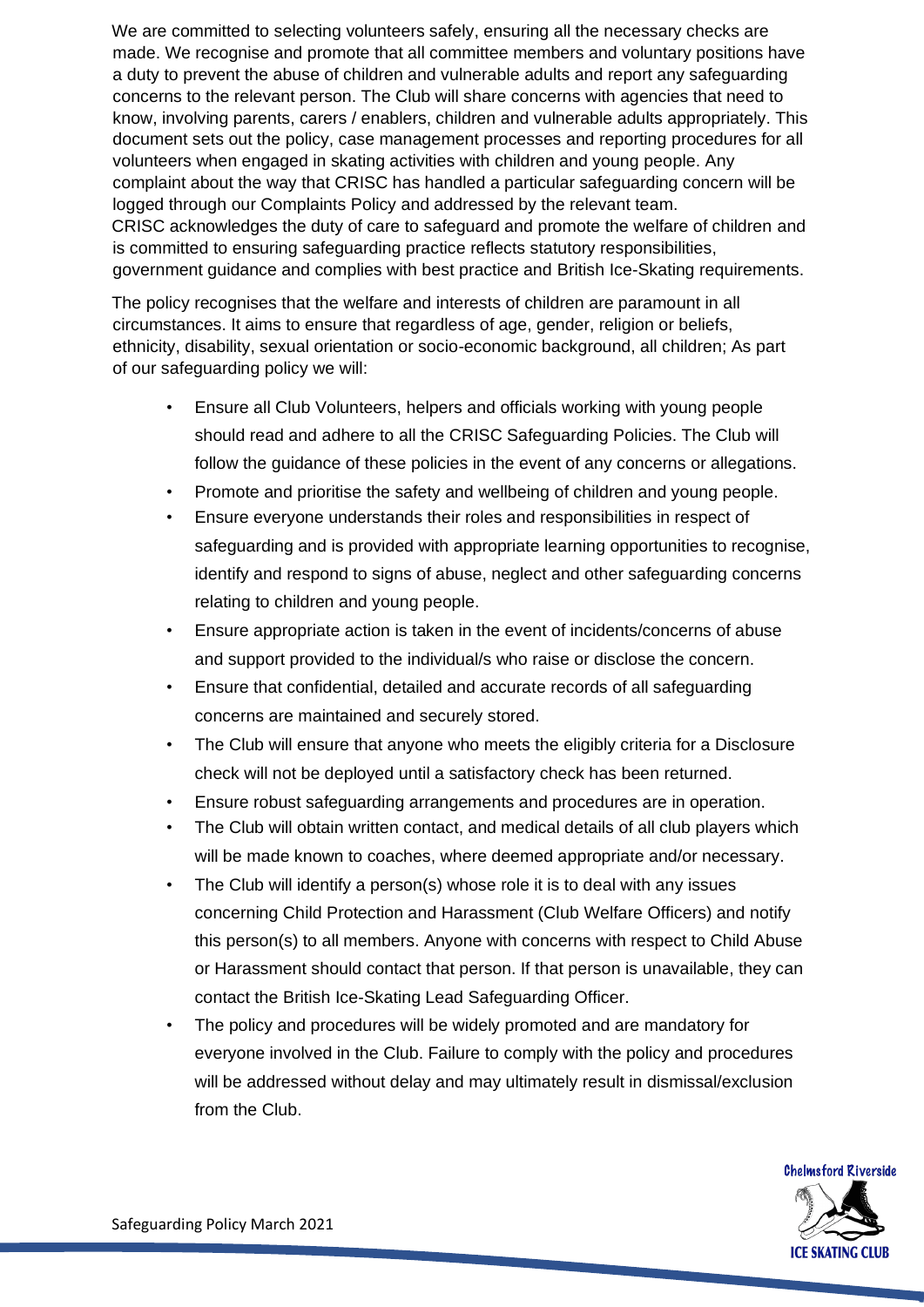We are committed to selecting volunteers safely, ensuring all the necessary checks are made. We recognise and promote that all committee members and voluntary positions have a duty to prevent the abuse of children and vulnerable adults and report any safeguarding concerns to the relevant person. The Club will share concerns with agencies that need to know, involving parents, carers / enablers, children and vulnerable adults appropriately. This document sets out the policy, case management processes and reporting procedures for all volunteers when engaged in skating activities with children and young people. Any complaint about the way that CRISC has handled a particular safeguarding concern will be logged through our Complaints Policy and addressed by the relevant team. CRISC acknowledges the duty of care to safeguard and promote the welfare of children and is committed to ensuring safeguarding practice reflects statutory responsibilities, government guidance and complies with best practice and British Ice-Skating requirements.

The policy recognises that the welfare and interests of children are paramount in all circumstances. It aims to ensure that regardless of age, gender, religion or beliefs, ethnicity, disability, sexual orientation or socio-economic background, all children; As part of our safeguarding policy we will:

- Ensure all Club Volunteers, helpers and officials working with young people should read and adhere to all the CRISC Safeguarding Policies. The Club will follow the guidance of these policies in the event of any concerns or allegations.
- Promote and prioritise the safety and wellbeing of children and young people.
- Ensure everyone understands their roles and responsibilities in respect of safeguarding and is provided with appropriate learning opportunities to recognise, identify and respond to signs of abuse, neglect and other safeguarding concerns relating to children and young people.
- Ensure appropriate action is taken in the event of incidents/concerns of abuse and support provided to the individual/s who raise or disclose the concern.
- Ensure that confidential, detailed and accurate records of all safeguarding concerns are maintained and securely stored.
- The Club will ensure that anyone who meets the eligibly criteria for a Disclosure check will not be deployed until a satisfactory check has been returned.
- Ensure robust safeguarding arrangements and procedures are in operation.
- The Club will obtain written contact, and medical details of all club players which will be made known to coaches, where deemed appropriate and/or necessary.
- The Club will identify a person(s) whose role it is to deal with any issues concerning Child Protection and Harassment (Club Welfare Officers) and notify this person(s) to all members. Anyone with concerns with respect to Child Abuse or Harassment should contact that person. If that person is unavailable, they can contact the British Ice-Skating Lead Safeguarding Officer.
- The policy and procedures will be widely promoted and are mandatory for everyone involved in the Club. Failure to comply with the policy and procedures will be addressed without delay and may ultimately result in dismissal/exclusion from the Club.